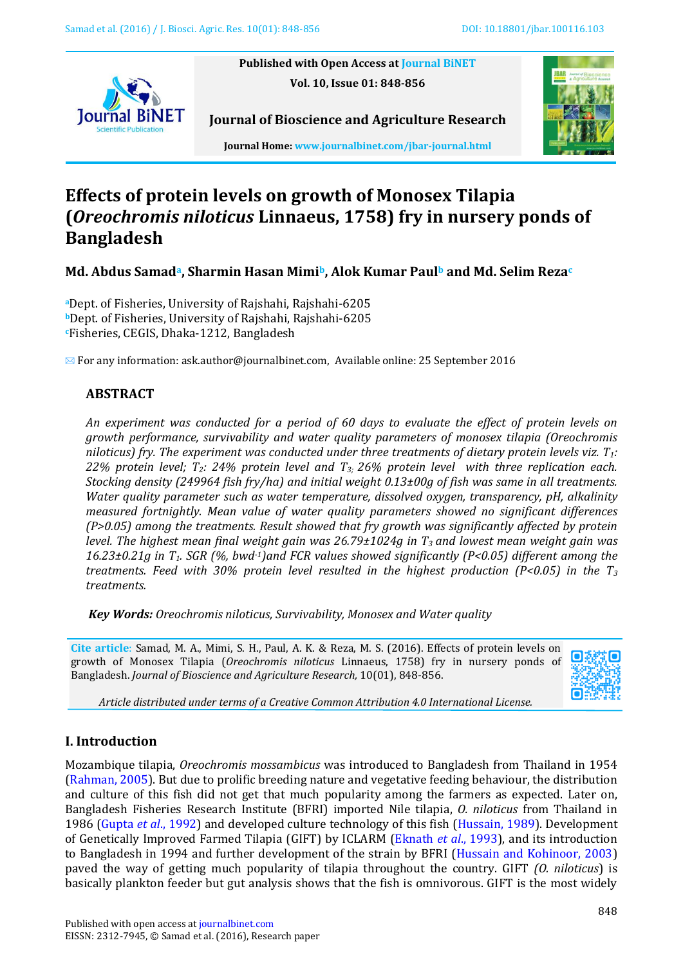**Published with Open Access at Journal BiNET Vol. 10, Issue 01: 848-856**





**Journal Home: www.journalbinet.com/jbar-journal.html**

**Journal of Bioscience and Agriculture Research**

# **Effects of protein levels on growth of Monosex Tilapia (***Oreochromis niloticus* **Linnaeus, 1758) fry in nursery ponds of Bangladesh**

**Md. Abdus Samada, Sharmin Hasan Mimib, Alok Kumar Paul<sup>b</sup> and Md. Selim Reza<sup>c</sup>**

**<sup>a</sup>**Dept. of Fisheries, University of Rajshahi, Rajshahi-6205 **<sup>b</sup>**Dept. of Fisheries, University of Rajshahi, Rajshahi-6205 **<sup>c</sup>**Fisheries, CEGIS, Dhaka-1212, Bangladesh

 $\boxtimes$  For any information[: ask.author@journalbinet.com,](mailto:ask.author@journalbinet.com) Available online: 25 September 2016

# **ABSTRACT**

*An experiment was conducted for a period of 60 days to evaluate the effect of protein levels on growth performance, survivability and water quality parameters of monosex tilapia (Oreochromis niloticus) fry. The experiment was conducted under three treatments of dietary protein levels viz. T1: 22% protein level; T2: 24% protein level and T3; 26% protein level with three replication each. Stocking density (249964 fish fry/ha) and initial weight 0.13±00g of fish was same in all treatments. Water quality parameter such as water temperature, dissolved oxygen, transparency, pH, alkalinity measured fortnightly. Mean value of water quality parameters showed no significant differences (P>0.05) among the treatments. Result showed that fry growth was significantly affected by protein level. The highest mean final weight gain was 26.79±1024g in T<sup>3</sup> and lowest mean weight gain was 16.23±0.21g in T1. SGR (%, bwd-1)and FCR values showed significantly (P<0.05) different among the treatments. Feed with 30% protein level resulted in the highest production (P<0.05) in the T<sup>3</sup> treatments.*

*Key Words: Oreochromis niloticus, Survivability, Monosex and Water quality*

**Cite article**: Samad, M. A., Mimi, S. H., Paul, A. K. & Reza, M. S. (2016). Effects of protein levels on growth of Monosex Tilapia (*Oreochromis niloticus* Linnaeus, 1758) fry in nursery ponds of Bangladesh. *Journal of Bioscience and Agriculture Research,* 10(01), 848-856.

<span id="page-0-1"></span><span id="page-0-0"></span>

*Article distributed under terms of a Creative Common Attribution 4.0 International License.*

# **I. Introduction**

Mozambique tilapia, *Oreochromis mossambicus* was introduced to Bangladesh from Thailand in 1954 [\(Rahman, 2005\)](#page-7-0). But due to prolific breeding nature and vegetative feeding behaviour, the distribution and culture of this fish did not get that much popularity among the farmers as expected. Later on, Bangladesh Fisheries Research Institute (BFRI) imported Nile tilapia, *O. niloticus* from Thailand in 1986 (Gupta *et al*[., 1992\)](#page-7-1) and developed culture technology of this fish [\(Hussain, 1989\)](#page-0-0). Development of Genetically Improved Farmed Tilapia (GIFT) by ICLARM [\(Eknath](#page-7-2) *et al*., 1993), and its introduction to Bangladesh in 1994 and further development of the strain by BFRI [\(Hussain and Kohinoor, 2003\)](#page-0-1) paved the way of getting much popularity of tilapia throughout the country. GIFT *(O. niloticus*) is basically plankton feeder but gut analysis shows that the fish is omnivorous. GIFT is the most widely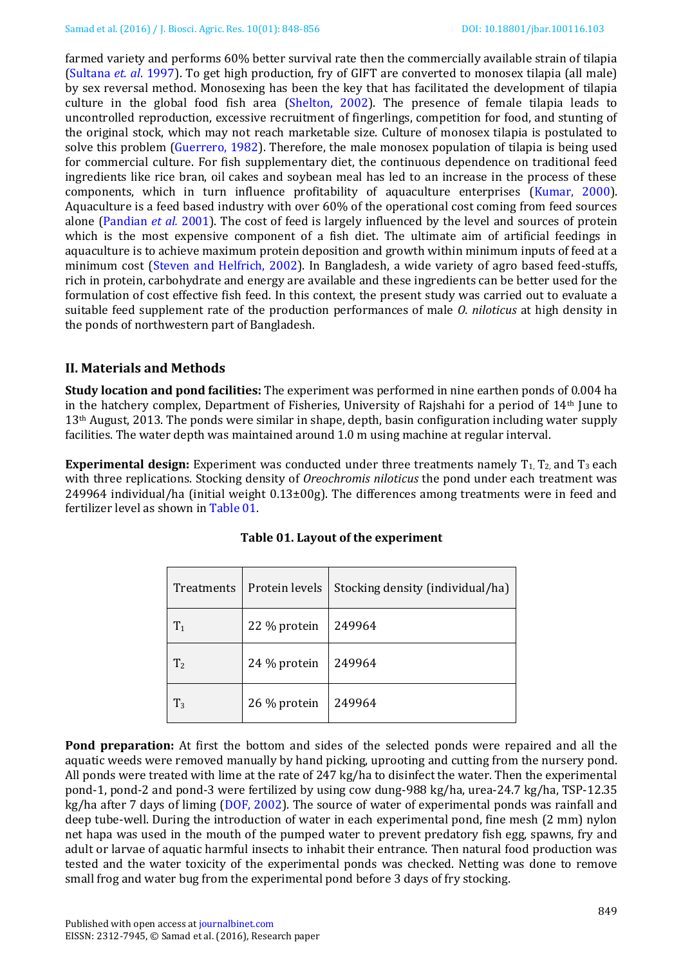<span id="page-1-0"></span>farmed variety and performs 60% better survival rate then the commercially available strain of tilapia [\(Sultana](#page-1-0) *et. al*. 1997). To get high production, fry of GIFT are converted to monosex tilapia (all male) by sex reversal method. Monosexing has been the key that has facilitated the development of tilapia culture in the global food fish area (Shelton, 2002). The presence of female tilapia leads to uncontrolled reproduction, excessive recruitment of fingerlings, competition for food, and stunting of the original stock, which may not reach marketable size. Culture of monosex tilapia is postulated to solve this problem (Guerrero, 1982). Therefore, the male monosex population of tilapia is being used for commercial culture. For fish supplementary diet, the continuous dependence on traditional feed ingredients like rice bran, oil cakes and soybean meal has led to an increase in the process of these components, which in turn influence profitability of aquaculture enterprises [\(Kumar, 2000\)](#page-7-3). Aquaculture is a feed based industry with over 60% of the operational cost coming from feed sources alone [\(Pandian](#page-7-4) *et al.* 2001). The cost of feed is largely influenced by the level and sources of protein which is the most expensive component of a fish diet. The ultimate aim of artificial feedings in aquaculture is to achieve maximum protein deposition and growth within minimum inputs of feed at a minimum cost [\(Steven and Helfrich, 2002\)](#page-7-5). In Bangladesh, a wide variety of agro based feed-stuffs, rich in protein, carbohydrate and energy are available and these ingredients can be better used for the formulation of cost effective fish feed. In this context, the present study was carried out to evaluate a suitable feed supplement rate of the production performances of male *O. niloticus* at high density in the ponds of northwestern part of Bangladesh.

# **II. Materials and Methods**

**Study location and pond facilities:** The experiment was performed in nine earthen ponds of 0.004 ha in the hatchery complex, Department of Fisheries, University of Rajshahi for a period of 14th June to 13th August, 2013. The ponds were similar in shape, depth, basin configuration including water supply facilities. The water depth was maintained around 1.0 m using machine at regular interval.

**Experimental design:** Experiment was conducted under three treatments namely  $T_1$ ,  $T_2$ , and  $T_3$  each with three replications. Stocking density of *Oreochromis niloticus* the pond under each treatment was 249964 individual/ha (initial weight 0.13±00g). The differences among treatments were in feed and fertilizer level as shown in Table 01.

| Treatments     | Protein levels | Stocking density (individual/ha) |
|----------------|----------------|----------------------------------|
| $T_1$          | 22 % protein   | 249964                           |
| T <sub>2</sub> | 24 % protein   | 249964                           |
| $T_3$          | 26 % protein   | 249964                           |

# **Table 01. Layout of the experiment**

**Pond preparation:** At first the bottom and sides of the selected ponds were repaired and all the aquatic weeds were removed manually by hand picking, uprooting and cutting from the nursery pond. All ponds were treated with lime at the rate of 247 kg/ha to disinfect the water. Then the experimental pond-1, pond-2 and pond-3 were fertilized by using cow dung-988 kg/ha, urea-24.7 kg/ha, TSP-12.35 kg/ha after 7 days of liming [\(DOF, 2002\)](#page-7-6). The source of water of experimental ponds was rainfall and deep tube-well. During the introduction of water in each experimental pond, fine mesh (2 mm) nylon net hapa was used in the mouth of the pumped water to prevent predatory fish egg, spawns, fry and adult or larvae of aquatic harmful insects to inhabit their entrance. Then natural food production was tested and the water toxicity of the experimental ponds was checked. Netting was done to remove small frog and water bug from the experimental pond before 3 days of fry stocking.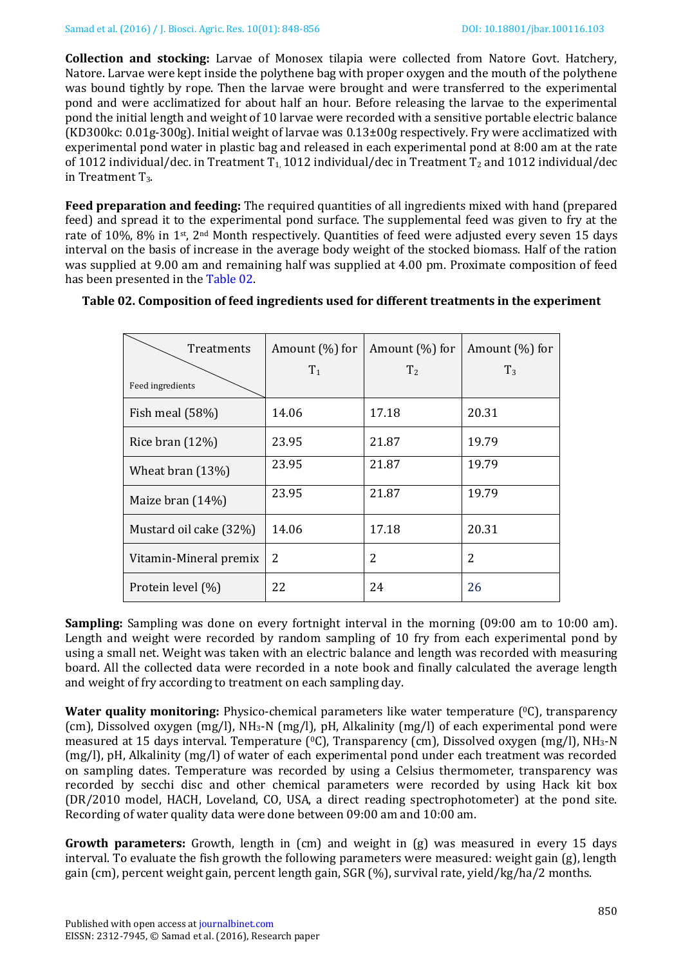**Collection and stocking:** Larvae of Monosex tilapia were collected from Natore Govt. Hatchery, Natore. Larvae were kept inside the polythene bag with proper oxygen and the mouth of the polythene was bound tightly by rope. Then the larvae were brought and were transferred to the experimental pond and were acclimatized for about half an hour. Before releasing the larvae to the experimental pond the initial length and weight of 10 larvae were recorded with a sensitive portable electric balance (KD300kc: 0.01g-300g). Initial weight of larvae was 0.13±00g respectively. Fry were acclimatized with experimental pond water in plastic bag and released in each experimental pond at 8:00 am at the rate of 1012 individual/dec. in Treatment T<sub>1</sub>, 1012 individual/dec in Treatment T<sub>2</sub> and 1012 individual/dec in Treatment T<sub>3</sub>.

**Feed preparation and feeding:** The required quantities of all ingredients mixed with hand (prepared feed) and spread it to the experimental pond surface. The supplemental feed was given to fry at the rate of 10%, 8% in 1st, 2nd Month respectively. Quantities of feed were adjusted every seven 15 days interval on the basis of increase in the average body weight of the stocked biomass. Half of the ration was supplied at 9.00 am and remaining half was supplied at 4.00 pm. Proximate composition of feed has been presented in the [Table 02.](#page-2-0)

| <b>Treatments</b><br>Feed ingredients | Amount $(\% )$ for<br>$T_1$ | Amount $(\% )$ for<br>T <sub>2</sub> | Amount (%) for<br>$T_3$ |
|---------------------------------------|-----------------------------|--------------------------------------|-------------------------|
| Fish meal $(58%)$                     | 14.06                       | 17.18                                | 20.31                   |
| Rice bran $(12\%)$                    | 23.95                       | 21.87                                | 19.79                   |
| Wheat bran (13%)                      | 23.95                       | 21.87                                | 19.79                   |
| Maize bran $(14%)$                    | 23.95                       | 21.87                                | 19.79                   |
| Mustard oil cake (32%)                | 14.06                       | 17.18                                | 20.31                   |
| Vitamin-Mineral premix                | 2                           | 2                                    | 2                       |
| Protein level (%)                     | 22                          | 24                                   | 26                      |

## <span id="page-2-0"></span>**Table 02. Composition of feed ingredients used for different treatments in the experiment**

**Sampling:** Sampling was done on every fortnight interval in the morning (09:00 am to 10:00 am). Length and weight were recorded by random sampling of 10 fry from each experimental pond by using a small net. Weight was taken with an electric balance and length was recorded with measuring board. All the collected data were recorded in a note book and finally calculated the average length and weight of fry according to treatment on each sampling day.

**Water quality monitoring:** Physico-chemical parameters like water temperature (°C), transparency (cm), Dissolved oxygen (mg/l), NH3-N (mg/l), pH, Alkalinity (mg/l) of each experimental pond were measured at 15 days interval. Temperature  $[°C]$ , Transparency (cm), Dissolved oxygen (mg/l), NH<sub>3</sub>-N (mg/l), pH, Alkalinity (mg/l) of water of each experimental pond under each treatment was recorded on sampling dates. Temperature was recorded by using a Celsius thermometer, transparency was recorded by secchi disc and other chemical parameters were recorded by using Hack kit box (DR/2010 model, HACH, Loveland, CO, USA, a direct reading spectrophotometer) at the pond site. Recording of water quality data were done between 09:00 am and 10:00 am.

**Growth parameters:** Growth, length in (cm) and weight in (g) was measured in every 15 days interval. To evaluate the fish growth the following parameters were measured: weight gain (g), length gain (cm), percent weight gain, percent length gain, SGR (%), survival rate, yield/kg/ha/2 months.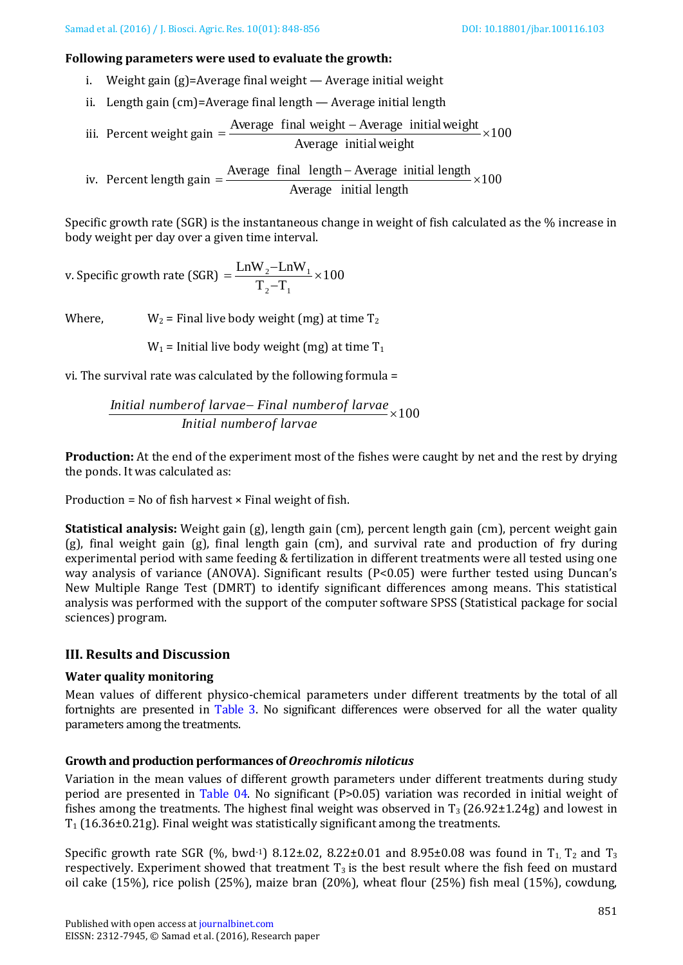#### **Following parameters were used to evaluate the growth:**

- i. Weight gain (g)=Average final weight Average initial weight
- ii. Length gain (cm)=Average final length Average initial length

iii. Percent weight gain = 
$$
\frac{\text{Average final weight} - \text{Average initial weight}}{\text{Average initial weight}} \times 100
$$

iv. Percent length gain Average final length - Average initial length  $\times 100$ Average initial length

Specific growth rate (SGR) is the instantaneous change in weight of fish calculated as the % increase in body weight per day over a given time interval.

v. Specific growth rate (SGR) = 
$$
\frac{LnW_2-LnW_1}{T_2-T_1} \times 100
$$

Where,  $W_2$  = Final live body weight (mg) at time  $T_2$ 

 $W_1$  = Initial live body weight (mg) at time  $T_1$ 

vi. The survival rate was calculated by the following formula = *Initial numbero f larvae Final numbero f larvae* <sup>100</sup> *Initial numbero f larvae*

**Production:** At the end of the experiment most of the fishes were caught by net and the rest by drying the ponds. It was calculated as:

Production =  $No$  of fish harvest  $\times$  Final weight of fish.

**Statistical analysis:** Weight gain (g), length gain (cm), percent length gain (cm), percent weight gain (g), final weight gain (g), final length gain (cm), and survival rate and production of fry during experimental period with same feeding & fertilization in different treatments were all tested using one way analysis of variance (ANOVA). Significant results (P<0.05) were further tested using Duncan's New Multiple Range Test (DMRT) to identify significant differences among means. This statistical analysis was performed with the support of the computer software SPSS (Statistical package for social sciences) program.

# **III. Results and Discussion**

## **Water quality monitoring**

Mean values of different physico-chemical parameters under different treatments by the total of all fortnights are presented in Table [3.](#page-4-0) No significant differences were observed for all the water quality parameters among the treatments.

## **Growth and production performances of** *Oreochromis niloticus*

Variation in the mean values of different growth parameters under different treatments during study period are presented in [Table 04.](#page-4-1) No significant (P>0.05) variation was recorded in initial weight of fishes among the treatments. The highest final weight was observed in  $T_3$  (26.92 $\pm$ 1.24g) and lowest in  $T_1$  (16.36±0.21g). Final weight was statistically significant among the treatments.

Specific growth rate SGR (%, bwd<sup>-1</sup>) 8.12±.02, 8.22±0.01 and 8.95±0.08 was found in  $T_1$ ,  $T_2$  and  $T_3$ respectively. Experiment showed that treatment  $T_3$  is the best result where the fish feed on mustard oil cake (15%), rice polish (25%), maize bran (20%), wheat flour (25%) fish meal (15%), cowdung,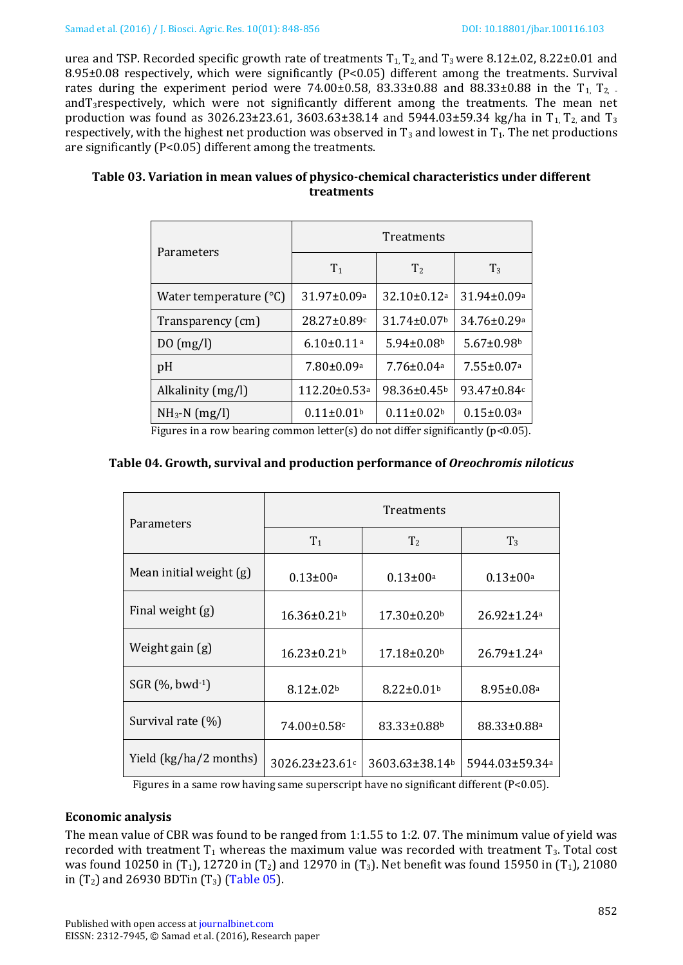urea and TSP. Recorded specific growth rate of treatments  $T_1$ ,  $T_2$  and  $T_3$  were 8.12±.02, 8.22±0.01 and 8.95±0.08 respectively, which were significantly (P<0.05) different among the treatments. Survival rates during the experiment period were 74.00 $\pm$ 0.58, 83.33 $\pm$ 0.88 and 88.33 $\pm$ 0.88 in the T<sub>1</sub> T<sub>2</sub>. andT3respectively, which were not significantly different among the treatments. The mean net production was found as  $3026.23 \pm 23.61$ ,  $3603.63 \pm 38.14$  and  $5944.03 \pm 59.34$  kg/ha in T<sub>1</sub>, T<sub>2</sub>, and T<sub>3</sub> respectively, with the highest net production was observed in  $T_3$  and lowest in  $T_1$ . The net productions are significantly (P<0.05) different among the treatments.

<span id="page-4-0"></span>

| Table 03. Variation in mean values of physico-chemical characteristics under different |
|----------------------------------------------------------------------------------------|
| treatments                                                                             |

|                                 | Treatments                     |                               |                               |  |
|---------------------------------|--------------------------------|-------------------------------|-------------------------------|--|
| Parameters                      | T <sub>1</sub>                 | T <sub>2</sub>                | $T_3$                         |  |
| Water temperature $(^{\circ}C)$ | $31.97 \pm 0.09$ <sup>a</sup>  | $32.10 \pm 0.12$ <sup>a</sup> | 31.94±0.09a                   |  |
| Transparency (cm)               | $28.27 \pm 0.89c$              | $31.74 \pm 0.07$              | $34.76 \pm 0.29$ <sup>a</sup> |  |
| $D()$ (mg/l)                    | $6.10 \pm 0.11$ <sup>a</sup>   | $5.94 \pm 0.08$ <sup>b</sup>  | $5.67 \pm 0.98$               |  |
| pH                              | $7.80 \pm 0.09$ <sup>a</sup>   | $7.76 \pm 0.04$ a             | $7.55 \pm 0.07$ <sup>a</sup>  |  |
| Alkalinity (mg/l)               | $112.20 \pm 0.53$ <sup>a</sup> | 98.36±0.45 <sup>b</sup>       | $93.47 \pm 0.84c$             |  |
| $NH_3-N$ (mg/l)                 | $0.11 \pm 0.01$ <sup>b</sup>   | $0.11 \pm 0.02$               | $0.15 \pm 0.03$ <sup>a</sup>  |  |

Figures in a row bearing common letter(s) do not differ significantly ( $p$ <0.05).

## <span id="page-4-1"></span>**Table 04. Growth, survival and production performance of** *Oreochromis niloticus*

| Parameters              | <b>Treatments</b>           |                               |                               |  |
|-------------------------|-----------------------------|-------------------------------|-------------------------------|--|
|                         | T <sub>1</sub>              | T <sub>2</sub>                | $T_3$                         |  |
| Mean initial weight (g) | $0.13 \pm 00^{\rm a}$       | $0.13 \pm 00^{\rm a}$         | $0.13 \pm 00^{\rm a}$         |  |
| Final weight (g)        | $16.36 \pm 0.21$            | $17.30 \pm 0.20$              | $26.92 \pm 1.24$ <sup>a</sup> |  |
| Weight gain (g)         | $16.23 \pm 0.21$            | $17.18 \pm 0.20$              | $26.79 \pm 1.24$ <sup>a</sup> |  |
| $SGR$ (%, bwd $-1$ )    | $8.12 \pm .02$ <sup>b</sup> | $8.22 \pm 0.01$ <sup>b</sup>  | $8.95 \pm 0.08$ <sup>a</sup>  |  |
| Survival rate $(\%)$    | $74.00 \pm 0.58$ c          | $83.33 \pm 0.88$ <sup>b</sup> | $88.33 \pm 0.88$ <sup>a</sup> |  |
| Yield (kg/ha/2 months)  | $3026.23 \pm 23.61$ c       | 3603.63±38.14b                | 5944.03±59.34 <sup>a</sup>    |  |

Figures in a same row having same superscript have no significant different  $(P< 0.05)$ .

## **Economic analysis**

The mean value of CBR was found to be ranged from 1:1.55 to 1:2. 07. The minimum value of yield was recorded with treatment  $T_1$  whereas the maximum value was recorded with treatment  $T_3$ . Total cost was found 10250 in (T<sub>1</sub>), 12720 in (T<sub>2</sub>) and 12970 in (T<sub>3</sub>). Net benefit was found 15950 in (T<sub>1</sub>), 21080 in  $(T_2)$  and 26930 BDTin  $(T_3)$  (Table 05).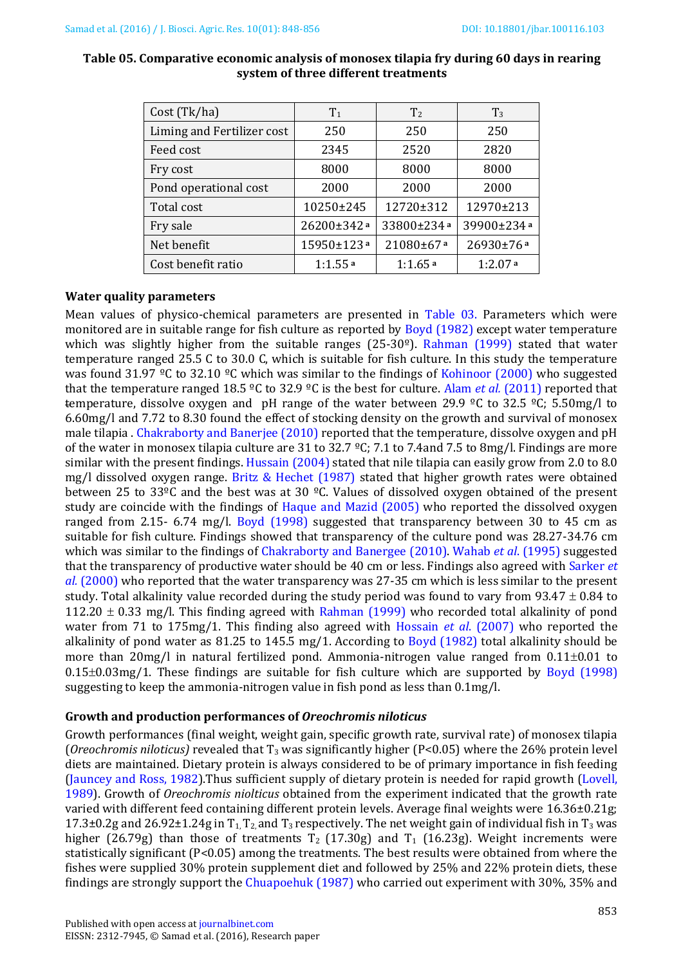| Cost (Tk/ha)               | $T_1$      | T <sub>2</sub> | $T_3$      |
|----------------------------|------------|----------------|------------|
| Liming and Fertilizer cost | 250        | 250            | 250        |
| Feed cost                  | 2345       | 2520           | 2820       |
| Fry cost                   | 8000       | 8000           | 8000       |
| Pond operational cost      | 2000       | 2000           | 2000       |
| Total cost                 | 10250±245  | 12720±312      | 12970±213  |
| Fry sale                   | 26200±342ª | 33800±234ª     | 39900±234a |
| Net benefit                | 15950±123ª | 21080±67a      | 26930±76ª  |
| Cost benefit ratio         | 1:1.55a    | 1:1.65a        | 1:2.07a    |

#### **Table 05. Comparative economic analysis of monosex tilapia fry during 60 days in rearing system of three different treatments**

#### **Water quality parameters**

Mean values of physico-chemical parameters are presented in [Table 03.](#page-4-0) Parameters which were monitored are in suitable range for fish culture as reported by Boyd (1982) except water temperature which was slightly higher from the suitable ranges (25-30 $°$ ). [Rahman \(1999\)](#page-7-7) stated that water temperature ranged 25.5 C to 30.0 C, which is suitable for fish culture. In this study the temperature was found 31.97 °C to 32.10 °C which was similar to the findings of [Kohinoor \(2000\)](#page-7-8) who suggested that the temperature ranged 18.5 ºC to 32.9 ºC is the best for culture. Alam *et al.* (2011) reported that temperature, dissolve oxygen and pH range of the water between 29.9 °C to 32.5 °C; 5.50mg/l to 6.60mg/l and 7.72 to 8.30 found the effect of stocking density on the growth and survival of monosex male tilapia . [Chakraborty and Banerjee \(2010\)](#page-6-0) reported that the temperature, dissolve oxygen and pH of the water in monosex tilapia culture are 31 to 32.7 °C; 7.1 to 7.4and 7.5 to 8mg/l. Findings are more similar with the present findings. Hussain (2004) stated that nile tilapia can easily grow from 2.0 to 8.0 mg/l dissolved oxygen range. [Britz & Hechet \(1987\)](#page-6-1) stated that higher growth rates were obtained between 25 to 33ºC and the best was at 30 ºC. Values of dissolved oxygen obtained of the present study are coincide with the findings of [Haque and Mazid \(2005\)](#page-7-9) who reported the dissolved oxygen ranged from 2.15- 6.74 mg/l. [Boyd \(1998\)](#page-6-2) suggested that transparency between 30 to 45 cm as suitable for fish culture. Findings showed that transparency of the culture pond was 28.27-34.76 cm which was similar to the findings of [Chakraborty and Banergee \(2010\).](#page-6-0) Wahab *et al*. (1995) suggested that the transparency of productive water should be 40 cm or less. Findings also agreed with [Sarker](#page-7-10) *et al.* [\(2000\)](#page-7-10) who reported that the water transparency was 27-35 cm which is less similar to the present study. Total alkalinity value recorded during the study period was found to vary from  $93.47 \pm 0.84$  to 112.20  $\pm$  0.33 mg/l. This finding agreed with [Rahman \(1999\)](#page-7-7) who recorded total alkalinity of pond water from 71 to 175mg/1. This finding also agreed with [Hossain](#page-7-11) *et al*. (2007) who reported the alkalinity of pond water as 81.25 to 145.5 mg/1. According to [Boyd \(1982\)](#page-6-3) total alkalinity should be more than  $20mg/l$  in natural fertilized pond. Ammonia-nitrogen value ranged from  $0.11\pm0.01$  to  $0.15\pm0.03$ mg/1. These findings are suitable for fish culture which are supported by [Boyd \(1998\)](#page-6-2) suggesting to keep the ammonia-nitrogen value in fish pond as less than 0.1mg/l.

#### **Growth and production performances of** *Oreochromis niloticus*

Growth performances (final weight, weight gain, specific growth rate, survival rate) of monosex tilapia (*Oreochromis niloticus)* revealed that T<sup>3</sup> was significantly higher (P<0.05) where the 26% protein level diets are maintained. Dietary protein is always considered to be of primary importance in fish feeding (Jauncey and Ross, 1982).Thus sufficient supply of dietary protein is needed for rapid growth [\(Lovell,](#page-7-12)  [1989\)](#page-7-12). Growth of *Oreochromis niolticus* obtained from the experiment indicated that the growth rate varied with different feed containing different protein levels. Average final weights were 16.36±0.21g; 17.3 $\pm$ 0.2g and 26.92 $\pm$ 1.24g in T<sub>1</sub>, T<sub>2</sub>, and T<sub>3</sub> respectively. The net weight gain of individual fish in T<sub>3</sub> was higher (26.79g) than those of treatments  $T_2$  (17.30g) and  $T_1$  (16.23g). Weight increments were statistically significant (P<0.05) among the treatments. The best results were obtained from where the fishes were supplied 30% protein supplement diet and followed by 25% and 22% protein diets, these findings are strongly support the Chuapoehuk (1987) who carried out experiment with 30%, 35% and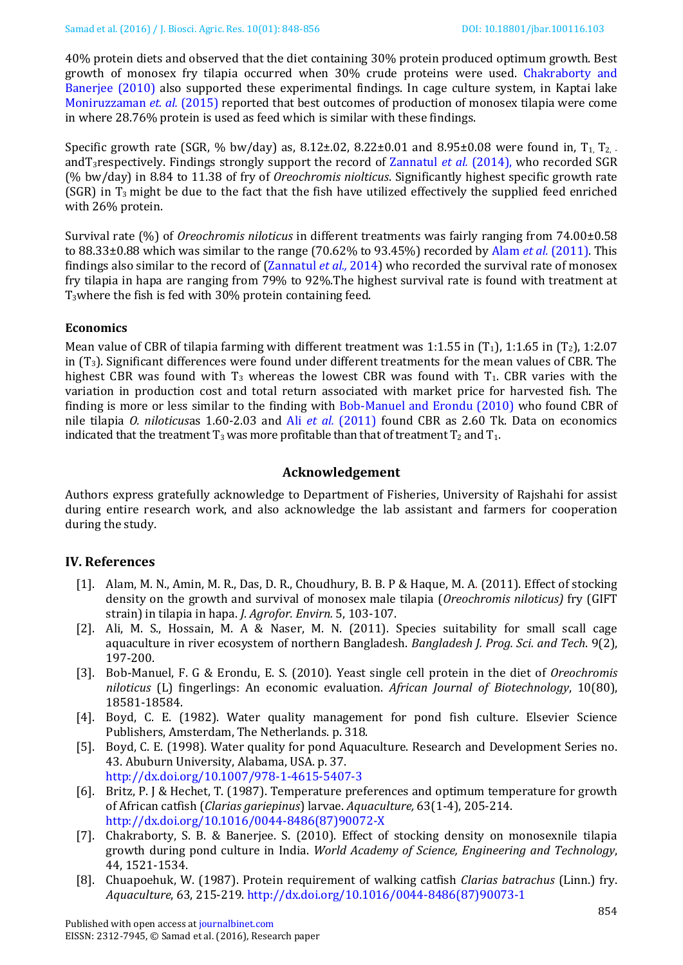40% protein diets and observed that the diet containing 30% protein produced optimum growth. Best growth of monosex fry tilapia occurred when 30% crude proteins were used. [Chakraborty and](#page-6-0)  [Banerjee \(2010\)](#page-6-0) also supported these experimental findings. In cage culture system, in Kaptai lake [Moniruzzaman](#page-7-13) *et. al.* (2015) reported that best outcomes of production of monosex tilapia were come in where 28.76% protein is used as feed which is similar with these findings.

Specific growth rate (SGR, % bw/day) as,  $8.12 \pm 0.02$ ,  $8.22 \pm 0.01$  and  $8.95 \pm 0.08$  were found in,  $T_1$ ,  $T_2$ . andT3respectively. Findings strongly support the record of Zannatul *et al.* (2014), who recorded SGR (% bw/day) in 8.84 to 11.38 of fry of *Oreochromis niolticus*. Significantly highest specific growth rate (SGR) in  $T_3$  might be due to the fact that the fish have utilized effectively the supplied feed enriched with 26% protein.

Survival rate (%) of *Oreochromis niloticus* in different treatments was fairly ranging from 74.00±0.58 to 88.33±0.88 which was similar to the range (70.62% to 93.45%) recorded by Alam *et al.* [\(2011\).](#page-6-4) This findings also similar to the record of (Zannatul *et al.,* 2014) who recorded the survival rate of monosex fry tilapia in hapa are ranging from 79% to 92%.The highest survival rate is found with treatment at T3where the fish is fed with 30% protein containing feed.

## **Economics**

Mean value of CBR of tilapia farming with different treatment was 1:1.55 in  $(T_1)$ , 1:1.65 in  $(T_2)$ , 1:2.07 in  $(T_3)$ . Significant differences were found under different treatments for the mean values of CBR. The highest CBR was found with  $T_3$  whereas the lowest CBR was found with  $T_1$ . CBR varies with the variation in production cost and total return associated with market price for harvested fish. The finding is more or less similar to the finding with [Bob-Manuel and Erondu \(2010\)](#page-6-5) who found CBR of nile tilapia *O. niloticus*as 1.60-2.03 and Ali *et al.* [\(2011\)](#page-6-6) found CBR as 2.60 Tk. Data on economics indicated that the treatment  $T_3$  was more profitable than that of treatment  $T_2$  and  $T_1$ .

## **Acknowledgement**

Authors express gratefully acknowledge to Department of Fisheries, University of Rajshahi for assist during entire research work, and also acknowledge the lab assistant and farmers for cooperation during the study.

## **IV. References**

- <span id="page-6-4"></span>[1]. Alam, M. N., Amin, M. R., Das, D. R., Choudhury, B. B. P & Haque, M. A. (2011). Effect of stocking density on the growth and survival of monosex male tilapia (*Oreochromis niloticus)* fry (GIFT strain) in tilapia in hapa. *J. Agrofor. Envirn.* 5, 103-107.
- <span id="page-6-6"></span>[2]. Ali, M. S., Hossain, M. A & Naser, M. N. (2011). Species suitability for small scall cage aquaculture in river ecosystem of northern Bangladesh. *Bangladesh J. Prog. Sci. and Tech*. 9(2), 197-200.
- <span id="page-6-5"></span>[3]. Bob-Manuel, F. G & Erondu, E. S. (2010). Yeast single cell protein in the diet of *Oreochromis niloticus* (L) fingerlings: An economic evaluation. *African Journal of Biotechnology*, 10(80), 18581-18584.
- <span id="page-6-3"></span>[4]. Boyd, C. E. (1982). Water quality management for pond fish culture. Elsevier Science Publishers, Amsterdam, The Netherlands. p. 318.
- <span id="page-6-2"></span>[5]. Boyd, C. E. (1998). Water quality for pond Aquaculture. Research and Development Series no. 43. Abuburn University, Alabama, USA. p. 37. <http://dx.doi.org/10.1007/978-1-4615-5407-3>
- <span id="page-6-1"></span>[6]. Britz, P. J & Hechet, T. (1987). Temperature preferences and optimum temperature for growth of African catfish (*Clarias gariepinus*) larvae. *Aquaculture,* 63(1-4), 205-214. [http://dx.doi.org/10.1016/0044-8486\(87\)90072-X](http://dx.doi.org/10.1016/0044-8486(87)90072-X)
- <span id="page-6-0"></span>[7]. Chakraborty, S. B. & Banerjee. S. (2010). Effect of stocking density on monosexnile tilapia growth during pond culture in India. *World Academy of Science, Engineering and Technology*, 44, 1521-1534.
- [8]. Chuapoehuk, W. (1987). Protein requirement of walking catfish *Clarias batrachus* (Linn.) fry. *Aquaculture*, 63, 215-219. [http://dx.doi.org/10.1016/0044-8486\(87\)90073-1](http://dx.doi.org/10.1016/0044-8486(87)90073-1)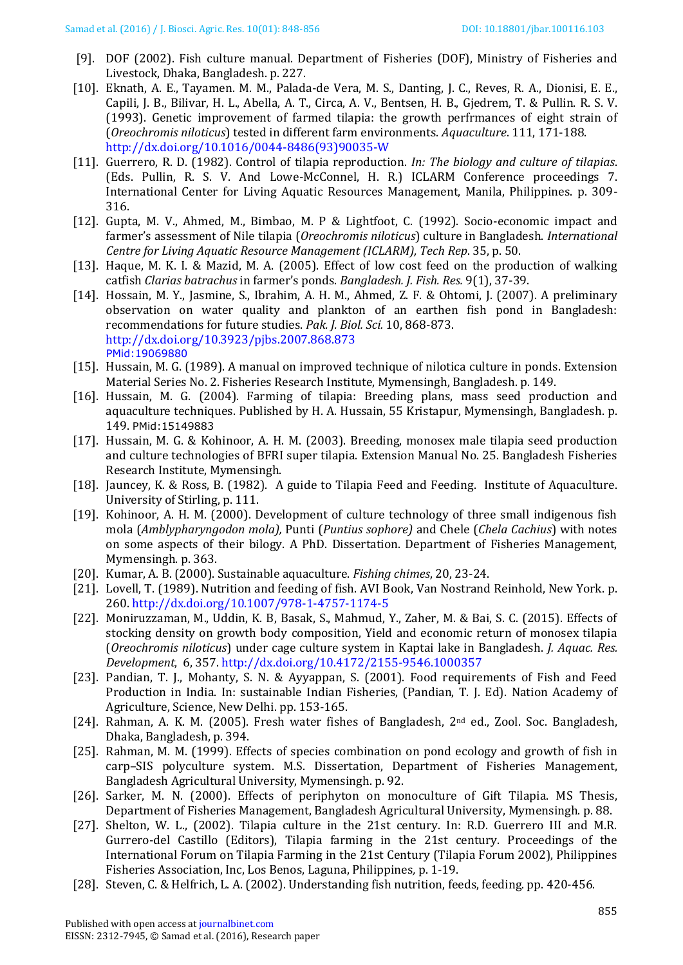- <span id="page-7-6"></span>[9]. DOF (2002). Fish culture manual. Department of Fisheries (DOF), Ministry of Fisheries and Livestock, Dhaka, Bangladesh. p. 227.
- <span id="page-7-2"></span>[10]. Eknath, A. E., Tayamen. M. M., Palada-de Vera, M. S., Danting, J. C., Reves, R. A., Dionisi, E. E., Capili, J. B., Bilivar, H. L., Abella, A. T., Circa, A. V., Bentsen, H. B., Gjedrem, T. & Pullin. R. S. V. (1993). Genetic improvement of farmed tilapia: the growth perfrmances of eight strain of (*Oreochromis niloticus*) tested in different farm environments. *Aquaculture*. 111, 171-188. [http://dx.doi.org/10.1016/0044-8486\(93\)90035-W](http://dx.doi.org/10.1016/0044-8486(93)90035-W)
- <span id="page-7-9"></span>[11]. Guerrero, R. D. (1982). Control of tilapia reproduction. *In: The biology and culture of tilapias*. (Eds. Pullin, R. S. V. And Lowe-McConnel, H. R.) ICLARM Conference proceedings 7. International Center for Living Aquatic Resources Management, Manila, Philippines. p. 309- 316.
- <span id="page-7-1"></span>[12]. Gupta, M. V., Ahmed, M., Bimbao, M. P & Lightfoot, C. (1992). Socio-economic impact and farmer's assessment of Nile tilapia (*Oreochromis niloticus*) culture in Bangladesh. *International Centre for Living Aquatic Resource Management (ICLARM), Tech Rep*. 35, p. 50.
- [13]. Haque, M. K. I. & Mazid, M. A. (2005). Effect of low cost feed on the production of walking catfish *Clarias batrachus* in farmer's ponds. *Bangladesh. J. Fish. Res.* 9(1), 37-39.
- <span id="page-7-11"></span>[14]. Hossain, M. Y., Jasmine, S., Ibrahim, A. H. M., Ahmed, Z. F. & Ohtomi, J. (2007). A preliminary observation on water quality and plankton of an earthen fish pond in Bangladesh: recommendations for future studies. *Pak. J. Biol. Sci.* 10, 868-873. <http://dx.doi.org/10.3923/pjbs.2007.868.873> PMid:19069880
- [15]. Hussain, M. G. (1989). A manual on improved technique of nilotica culture in ponds. Extension Material Series No. 2. Fisheries Research Institute, Mymensingh, Bangladesh. p. 149.
- [16]. Hussain, M. G. (2004). Farming of tilapia: Breeding plans, mass seed production and aquaculture techniques. Published by H. A. Hussain, 55 Kristapur, Mymensingh, Bangladesh. p. 149. PMid:15149883
- [17]. Hussain, M. G. & Kohinoor, A. H. M. (2003). Breeding, monosex male tilapia seed production and culture technologies of BFRI super tilapia. Extension Manual No. 25. Bangladesh Fisheries Research Institute, Mymensingh.
- [18]. Jauncey, K. & Ross, B. (1982). A guide to Tilapia Feed and Feeding. Institute of Aquaculture. University of Stirling, p. 111.
- <span id="page-7-8"></span>[19]. Kohinoor, A. H. M. (2000). Development of culture technology of three small indigenous fish mola (*Amblypharyngodon mola),* Punti (*Puntius sophore)* and Chele (*Chela Cachius*) with notes on some aspects of their bilogy. A PhD. Dissertation. Department of Fisheries Management, Mymensingh. p. 363.
- <span id="page-7-3"></span>[20]. Kumar, A. B. (2000). Sustainable aquaculture. *Fishing chimes*, 20, 23-24.
- <span id="page-7-12"></span>[21]. Lovell, T. (1989). Nutrition and feeding of fish. AVI Book, Van Nostrand Reinhold, New York. p. 260[. http://dx.doi.org/10.1007/978-1-4757-1174-5](http://dx.doi.org/10.1007/978-1-4757-1174-5)
- <span id="page-7-13"></span>[22]. Moniruzzaman, M., Uddin, K. B, Basak, S., Mahmud, Y., Zaher, M. & Bai, S. C. (2015). Effects of stocking density on growth body composition, Yield and economic return of monosex tilapia (*Oreochromis niloticus*) under cage culture system in Kaptai lake in Bangladesh. *J. Aquac. Res. Development*, 6, 357[. http://dx.doi.org/10.4172/2155-9546.1000357](http://dx.doi.org/10.4172/2155-9546.1000357)
- <span id="page-7-4"></span>[23]. Pandian, T. J., Mohanty, S. N. & Ayyappan, S. (2001). Food requirements of Fish and Feed Production in India. In: sustainable Indian Fisheries, (Pandian, T. J. Ed). Nation Academy of Agriculture, Science, New Delhi. pp. 153-165.
- <span id="page-7-0"></span>[24]. Rahman, A. K. M. (2005). Fresh water fishes of Bangladesh, 2nd ed., Zool. Soc. Bangladesh, Dhaka, Bangladesh, p. 394.
- <span id="page-7-7"></span>[25]. Rahman, M. M. (1999). Effects of species combination on pond ecology and growth of fish in carp–SIS polyculture system. M.S. Dissertation, Department of Fisheries Management, Bangladesh Agricultural University, Mymensingh. p. 92.
- <span id="page-7-10"></span>[26]. Sarker, M. N. (2000). Effects of periphyton on monoculture of Gift Tilapia. MS Thesis, Department of Fisheries Management, Bangladesh Agricultural University, Mymensingh. p. 88.
- [27]. Shelton, W. L., (2002). Tilapia culture in the 21st century. In: R.D. Guerrero III and M.R. Gurrero-del Castillo (Editors), Tilapia farming in the 21st century. Proceedings of the International Forum on Tilapia Farming in the 21st Century (Tilapia Forum 2002), Philippines Fisheries Association, Inc, Los Benos, Laguna, Philippines*,* p. 1-19.
- <span id="page-7-5"></span>[28]. Steven, C. & Helfrich, L. A. (2002). Understanding fish nutrition, feeds, feeding. pp. 420-456.